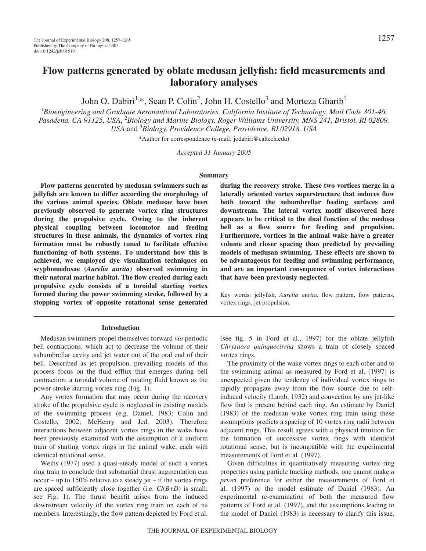# **Flow patterns generated by oblate medusan jellyfish: field measurements and laboratory analyses**

John O. Dabiri<sup>1,\*</sup>, Sean P. Colin<sup>2</sup>, John H. Costello<sup>3</sup> and Morteza Gharib<sup>1</sup>

1 *Bioengineering and Graduate Aeronautical Laboratories, California Institute of Technology, Mail Code 301-46,* Pasadena, CA 91125, USA, <sup>2</sup>Biology and Marine Biology, Roger Williams University, MNS 241, Bristol, RI 02809, *USA* and 3 *Biology, Providence College, Providence, RI 02918, USA*

\*Author for correspondence (e-mail: jodabiri@caltech.edu)

*Accepted 31 January 2005*

#### **Summary**

**Flow patterns generated by medusan swimmers such as jellyfish are known to differ according the morphology of the various animal species. Oblate medusae have been previously observed to generate vortex ring structures during the propulsive cycle. Owing to the inherent physical coupling between locomotor and feeding structures in these animals, the dynamics of vortex ring formation must be robustly tuned to facilitate effective functioning of both systems. To understand how this is achieved, we employed dye visualization techniques on scyphomedusae (***Aurelia aurita***) observed swimming in their natural marine habitat. The flow created during each propulsive cycle consists of a toroidal starting vortex formed during the power swimming stroke, followed by a stopping vortex of opposite rotational sense generated**

#### **Introduction**

Medusan swimmers propel themselves forward *via* periodic bell contractions, which act to decrease the volume of their subumbrellar cavity and jet water out of the oral end of their bell. Described as jet propulsion, prevailing models of this process focus on the fluid efflux that emerges during bell contraction: a toroidal volume of rotating fluid known as the power stroke starting vortex ring (Fig. 1).

Any vortex formation that may occur during the recovery stroke of the propulsive cycle is neglected in existing models of the swimming process (e.g. Daniel, 1983; Colin and Costello, 2002; McHenry and Jed, 2003). Therefore interactions between adjacent vortex rings in the wake have been previously examined with the assumption of a uniform train of starting vortex rings in the animal wake, each with identical rotational sense.

Weihs (1977) used a quasi-steady model of such a vortex ring train to conclude that substantial thrust augmentation can occur – up to 150% relative to a steady jet – if the vortex rings are spaced sufficiently close together (i.e. *C*/(*B*+*D*) is small; see Fig. 1). The thrust benefit arises from the induced downstream velocity of the vortex ring train on each of its members. Interestingly, the flow pattern depicted by Ford et al.

**during the recovery stroke. These two vortices merge in a laterally oriented vortex superstructure that induces flow both toward the subumbrellar feeding surfaces and downstream. The lateral vortex motif discovered here appears to be critical to the dual function of the medusa bell as a flow source for feeding and propulsion. Furthermore, vortices in the animal wake have a greater volume and closer spacing than predicted by prevailing models of medusan swimming. These effects are shown to be advantageous for feeding and swimming performance, and are an important consequence of vortex interactions that have been previously neglected.**

Key words: jellyfish, *Aurelia aurita*, flow pattern, flow patterns, vortex rings, jet propulsion.

(see fig. 5 in Ford et al., 1997) for the oblate jellyfish *Chrysaora quinquecirrha* shows a train of closely spaced vortex rings.

The proximity of the wake vortex rings to each other and to the swimming animal as measured by Ford et al. (1997) is unexpected given the tendency of individual vortex rings to rapidly propagate away from the flow source due to selfinduced velocity (Lamb, 1932) and convection by any jet-like flow that is present behind each ring. An estimate by Daniel (1983) of the medusan wake vortex ring train using these assumptions predicts a spacing of 10 vortex ring radii between adjacent rings. This result agrees with a physical intuition for the formation of successive vortex rings with identical rotational sense, but is incompatible with the experimental measurements of Ford et al. (1997).

Given difficulties in quantitatively measuring vortex ring properties using particle tracking methods, one cannot make *a priori* preference for either the measurements of Ford et al. (1997) or the model estimate of Daniel (1983). An experimental re-examination of both the measured flow patterns of Ford et al. (1997), and the assumptions leading to the model of Daniel (1983) is necessary to clarify this issue.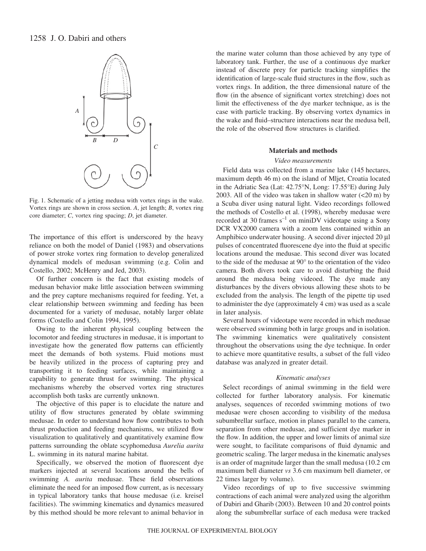# 1258 J. O. Dabiri and others



Fig. 1. Schematic of a jetting medusa with vortex rings in the wake. Vortex rings are shown in cross section. *A*, jet length; *B*, vortex ring core diameter; *C*, vortex ring spacing; *D*, jet diameter.

The importance of this effort is underscored by the heavy reliance on both the model of Daniel (1983) and observations of power stroke vortex ring formation to develop generalized dynamical models of medusan swimming (e.g. Colin and Costello, 2002; McHenry and Jed, 2003).

Of further concern is the fact that existing models of medusan behavior make little association between swimming and the prey capture mechanisms required for feeding. Yet, a clear relationship between swimming and feeding has been documented for a variety of medusae, notably larger oblate forms (Costello and Colin 1994, 1995).

Owing to the inherent physical coupling between the locomotor and feeding structures in medusae, it is important to investigate how the generated flow patterns can efficiently meet the demands of both systems. Fluid motions must be heavily utilized in the process of capturing prey and transporting it to feeding surfaces, while maintaining a capability to generate thrust for swimming. The physical mechanisms whereby the observed vortex ring structures accomplish both tasks are currently unknown.

The objective of this paper is to elucidate the nature and utility of flow structures generated by oblate swimming medusae. In order to understand how flow contributes to both thrust production and feeding mechanisms, we utilized flow visualization to qualitatively and quantitatively examine flow patterns surrounding the oblate scyphomedusa *Aurelia aurita* L. swimming in its natural marine habitat.

Specifically, we observed the motion of fluorescent dye markers injected at several locations around the bells of swimming *A. aurita* medusae. These field observations eliminate the need for an imposed flow current, as is necessary in typical laboratory tanks that house medusae (i.e. kreisel facilities). The swimming kinematics and dynamics measured by this method should be more relevant to animal behavior in

the marine water column than those achieved by any type of laboratory tank. Further, the use of a continuous dye marker instead of discrete prey for particle tracking simplifies the identification of large-scale fluid structures in the flow, such as vortex rings. In addition, the three dimensional nature of the flow (in the absence of significant vortex stretching) does not limit the effectiveness of the dye marker technique, as is the case with particle tracking. By observing vortex dynamics in the wake and fluid–structure interactions near the medusa bell, the role of the observed flow structures is clarified.

### **Materials and methods**

### *Video measurements*

Field data was collected from a marine lake (145 hectares, maximum depth 46 m) on the island of Mljet, Croatia located in the Adriatic Sea (Lat: 42.75°N, Long: 17.55°E) during July 2003. All of the video was taken in shallow water  $(<20 \text{ m})$  by a Scuba diver using natural light. Video recordings followed the methods of Costello et al. (1998), whereby medusae were recorded at 30 frames  $s^{-1}$  on miniDV videotape using a Sony DCR VX2000 camera with a zoom lens contained within an Amphibico underwater housing. A second diver injected 20 µl pulses of concentrated fluorescene dye into the fluid at specific locations around the medusae. This second diver was located to the side of the medusae at 90° to the orientation of the video camera. Both divers took care to avoid disturbing the fluid around the medusa being videoed. The dye made any disturbances by the divers obvious allowing these shots to be excluded from the analysis. The length of the pipette tip used to administer the dye (approximately 4 cm) was used as a scale in later analysis.

Several hours of videotape were recorded in which medusae were observed swimming both in large groups and in isolation. The swimming kinematics were qualitatively consistent throughout the observations using the dye technique. In order to achieve more quantitative results, a subset of the full video database was analyzed in greater detail.

#### *Kinematic analyses*

Select recordings of animal swimming in the field were collected for further laboratory analysis. For kinematic analyses, sequences of recorded swimming motions of two medusae were chosen according to visibility of the medusa subumbrellar surface, motion in planes parallel to the camera, separation from other medusae, and sufficient dye marker in the flow. In addition, the upper and lower limits of animal size were sought, to facilitate comparisons of fluid dynamic and geometric scaling. The larger medusa in the kinematic analyses is an order of magnitude larger than the small medusa (10.2 cm maximum bell diameter *vs* 3.6 cm maximum bell diameter, or 22 times larger by volume).

Video recordings of up to five successive swimming contractions of each animal were analyzed using the algorithm of Dabiri and Gharib (2003). Between 10 and 20 control points along the subumbrellar surface of each medusa were tracked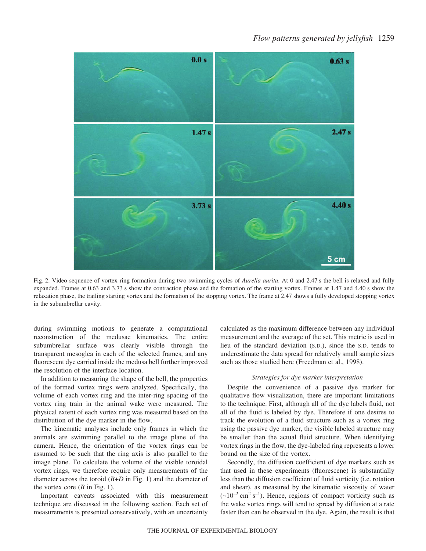

Fig. 2. Video sequence of vortex ring formation during two swimming cycles of *Aurelia aurita*. At 0 and 2.47 s the bell is relaxed and fully expanded. Frames at 0.63 and 3.73 s show the contraction phase and the formation of the starting vortex. Frames at 1.47 and 4.40 s show the relaxation phase, the trailing starting vortex and the formation of the stopping vortex. The frame at 2.47 shows a fully developed stopping vortex in the subumbrellar cavity.

during swimming motions to generate a computational reconstruction of the medusae kinematics. The entire subumbrellar surface was clearly visible through the transparent mesoglea in each of the selected frames, and any fluorescent dye carried inside the medusa bell further improved the resolution of the interface location.

In addition to measuring the shape of the bell, the properties of the formed vortex rings were analyzed. Specifically, the volume of each vortex ring and the inter-ring spacing of the vortex ring train in the animal wake were measured. The physical extent of each vortex ring was measured based on the distribution of the dye marker in the flow.

The kinematic analyses include only frames in which the animals are swimming parallel to the image plane of the camera. Hence, the orientation of the vortex rings can be assumed to be such that the ring axis is also parallel to the image plane. To calculate the volume of the visible toroidal vortex rings, we therefore require only measurements of the diameter across the toroid  $(B+D)$  in Fig. 1) and the diameter of the vortex core  $(B \text{ in Fig. 1}).$ 

Important caveats associated with this measurement technique are discussed in the following section. Each set of measurements is presented conservatively, with an uncertainty calculated as the maximum difference between any individual measurement and the average of the set. This metric is used in lieu of the standard deviation (S.D.), since the S.D. tends to underestimate the data spread for relatively small sample sizes such as those studied here (Freedman et al., 1998).

#### *Strategies for dye marker interpretation*

Despite the convenience of a passive dye marker for qualitative flow visualization, there are important limitations to the technique. First, although all of the dye labels fluid, not all of the fluid is labeled by dye. Therefore if one desires to track the evolution of a fluid structure such as a vortex ring using the passive dye marker, the visible labeled structure may be smaller than the actual fluid structure. When identifying vortex rings in the flow, the dye-labeled ring represents a lower bound on the size of the vortex.

Secondly, the diffusion coefficient of dye markers such as that used in these experiments (fluorescene) is substantially less than the diffusion coefficient of fluid vorticity (i.e. rotation and shear), as measured by the kinematic viscosity of water  $({\sim}10^{-2} \text{ cm}^2 \text{ s}^{-1})$ . Hence, regions of compact vorticity such as the wake vortex rings will tend to spread by diffusion at a rate faster than can be observed in the dye. Again, the result is that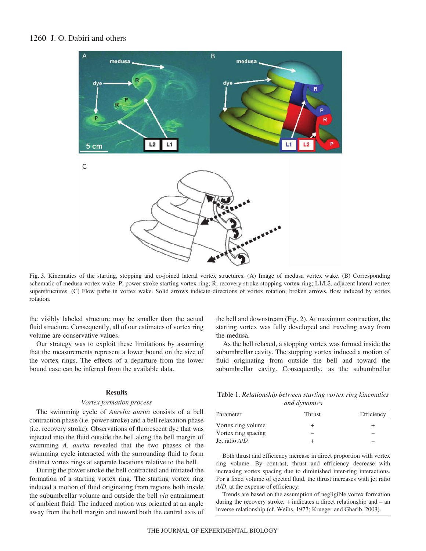# 1260 J. O. Dabiri and others



Fig. 3. Kinematics of the starting, stopping and co-joined lateral vortex structures. (A) Image of medusa vortex wake. (B) Corresponding schematic of medusa vortex wake. P, power stroke starting vortex ring; R, recovery stroke stopping vortex ring; L1/L2, adjacent lateral vortex superstructures. (C) Flow paths in vortex wake. Solid arrows indicate directions of vortex rotation; broken arrows, flow induced by vortex rotation.

the visibly labeled structure may be smaller than the actual fluid structure. Consequently, all of our estimates of vortex ring volume are conservative values.

Our strategy was to exploit these limitations by assuming that the measurements represent a lower bound on the size of the vortex rings. The effects of a departure from the lower bound case can be inferred from the available data.

#### **Results**

### *Vortex formation process*

The swimming cycle of *Aurelia aurita* consists of a bell contraction phase (i.e. power stroke) and a bell relaxation phase (i.e. recovery stroke). Observations of fluorescent dye that was injected into the fluid outside the bell along the bell margin of swimming *A. aurita* revealed that the two phases of the swimming cycle interacted with the surrounding fluid to form distinct vortex rings at separate locations relative to the bell.

During the power stroke the bell contracted and initiated the formation of a starting vortex ring. The starting vortex ring induced a motion of fluid originating from regions both inside the subumbrellar volume and outside the bell *via* entrainment of ambient fluid. The induced motion was oriented at an angle away from the bell margin and toward both the central axis of

the bell and downstream (Fig. 2). At maximum contraction, the starting vortex was fully developed and traveling away from the medusa.

As the bell relaxed, a stopping vortex was formed inside the subumbrellar cavity. The stopping vortex induced a motion of fluid originating from outside the bell and toward the subumbrellar cavity. Consequently, as the subumbrellar

Table 1. *Relationship between starting vortex ring kinematics and dynamics*

| Thrust | Efficiency |  |
|--------|------------|--|
|        |            |  |
|        |            |  |
|        |            |  |
|        | ,          |  |

Both thrust and efficiency increase in direct proportion with vortex ring volume. By contrast, thrust and efficiency decrease with increasing vortex spacing due to diminished inter-ring interactions. For a fixed volume of ejected fluid, the thrust increases with jet ratio *A*/*D*, at the expense of efficiency.

Trends are based on the assumption of negligible vortex formation during the recovery stroke. + indicates a direct relationship and – an inverse relationship (cf. Weihs, 1977; Krueger and Gharib, 2003).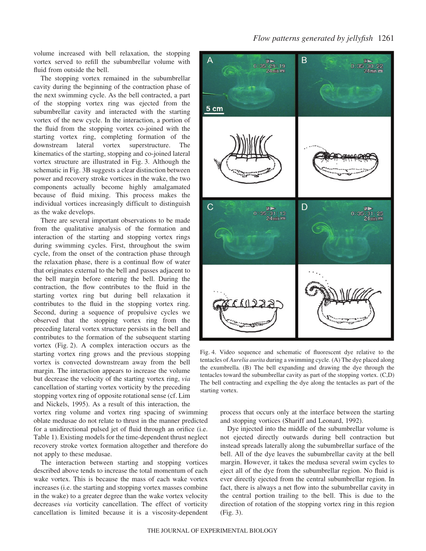*Flow patterns generated by jellyfish* 1261

volume increased with bell relaxation, the stopping vortex served to refill the subumbrellar volume with fluid from outside the bell.

The stopping vortex remained in the subumbrellar cavity during the beginning of the contraction phase of the next swimming cycle. As the bell contracted, a part of the stopping vortex ring was ejected from the subumbrellar cavity and interacted with the starting vortex of the new cycle. In the interaction, a portion of the fluid from the stopping vortex co-joined with the starting vortex ring, completing formation of the downstream lateral vortex superstructure. The kinematics of the starting, stopping and co-joined lateral vortex structure are illustrated in Fig. 3. Although the schematic in Fig. 3B suggests a clear distinction between power and recovery stroke vortices in the wake, the two components actually become highly amalgamated because of fluid mixing. This process makes the individual vortices increasingly difficult to distinguish as the wake develops.

There are several important observations to be made from the qualitative analysis of the formation and interaction of the starting and stopping vortex rings during swimming cycles. First, throughout the swim cycle, from the onset of the contraction phase through the relaxation phase, there is a continual flow of water that originates external to the bell and passes adjacent to the bell margin before entering the bell. During the contraction, the flow contributes to the fluid in the starting vortex ring but during bell relaxation it contributes to the fluid in the stopping vortex ring. Second, during a sequence of propulsive cycles we observed that the stopping vortex ring from the preceding lateral vortex structure persists in the bell and contributes to the formation of the subsequent starting vortex (Fig. 2). A complex interaction occurs as the starting vortex ring grows and the previous stopping vortex is convected downstream away from the bell margin. The interaction appears to increase the volume but decrease the velocity of the starting vortex ring, *via* cancellation of starting vortex vorticity by the preceding stopping vortex ring of opposite rotational sense (cf. Lim and Nickels, 1995). As a result of this interaction, the

vortex ring volume and vortex ring spacing of swimming oblate medusae do not relate to thrust in the manner predicted for a unidirectional pulsed jet of fluid through an orifice (i.e. Table 1). Existing models for the time-dependent thrust neglect recovery stroke vortex formation altogether and therefore do not apply to these medusae.

The interaction between starting and stopping vortices described above tends to increase the total momentum of each wake vortex. This is because the mass of each wake vortex increases (i.e. the starting and stopping vortex masses combine in the wake) to a greater degree than the wake vortex velocity decreases *via* vorticity cancellation. The effect of vorticity cancellation is limited because it is a viscosity-dependent



Fig. 4. Video sequence and schematic of fluorescent dye relative to the tentacles of *Aurelia aurita* during a swimming cycle. (A) The dye placed along the exumbrella. (B) The bell expanding and drawing the dye through the tentacles toward the subumbrellar cavity as part of the stopping vortex. (C,D) The bell contracting and expelling the dye along the tentacles as part of the starting vortex.

process that occurs only at the interface between the starting and stopping vortices (Shariff and Leonard, 1992).

Dye injected into the middle of the subumbrellar volume is not ejected directly outwards during bell contraction but instead spreads laterally along the subumbrellar surface of the bell. All of the dye leaves the subumbrellar cavity at the bell margin. However, it takes the medusa several swim cycles to eject all of the dye from the subumbrellar region. No fluid is ever directly ejected from the central subumbrellar region. In fact, there is always a net flow into the subumbrellar cavity in the central portion trailing to the bell. This is due to the direction of rotation of the stopping vortex ring in this region  $(Fig. 3)$ .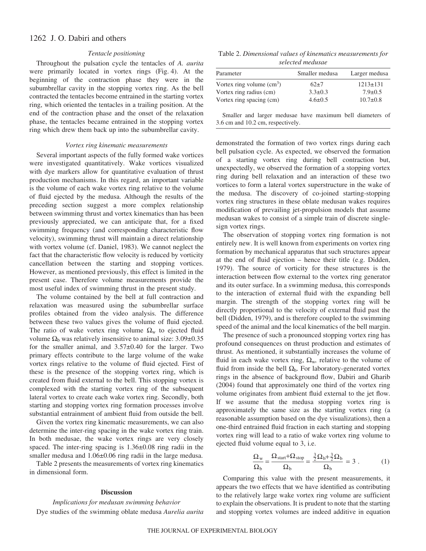# 1262 J. O. Dabiri and others

### *Tentacle positioning*

Throughout the pulsation cycle the tentacles of *A. aurita* were primarily located in vortex rings (Fig. 4). At the beginning of the contraction phase they were in the subumbrellar cavity in the stopping vortex ring. As the bell contracted the tentacles become entrained in the starting vortex ring, which oriented the tentacles in a trailing position. At the end of the contraction phase and the onset of the relaxation phase, the tentacles became entrained in the stopping vortex ring which drew them back up into the subumbrellar cavity.

### *Vortex ring kinematic measurements*

Several important aspects of the fully formed wake vortices were investigated quantitatively. Wake vortices visualized with dye markers allow for quantitative evaluation of thrust production mechanisms. In this regard, an important variable is the volume of each wake vortex ring relative to the volume of fluid ejected by the medusa. Although the results of the preceding section suggest a more complex relationship between swimming thrust and vortex kinematics than has been previously appreciated, we can anticipate that, for a fixed swimming frequency (and corresponding characteristic flow velocity), swimming thrust will maintain a direct relationship with vortex volume (cf. Daniel, 1983). We cannot neglect the fact that the characteristic flow velocity is reduced by vorticity cancellation between the starting and stopping vortices. However, as mentioned previously, this effect is limited in the present case. Therefore volume measurements provide the most useful index of swimming thrust in the present study.

The volume contained by the bell at full contraction and relaxation was measured using the subumbrellar surface profiles obtained from the video analysis. The difference between these two values gives the volume of fluid ejected. The ratio of wake vortex ring volume  $\Omega_w$  to ejected fluid volume  $\Omega_b$  was relatively insensitive to animal size: 3.09±0.35 for the smaller animal, and  $3.57\pm0.40$  for the larger. Two primary effects contribute to the large volume of the wake vortex rings relative to the volume of fluid ejected. First of these is the presence of the stopping vortex ring, which is created from fluid external to the bell. This stopping vortex is complexed with the starting vortex ring of the subsequent lateral vortex to create each wake vortex ring. Secondly, both starting and stopping vortex ring formation processes involve substantial entrainment of ambient fluid from outside the bell.

Given the vortex ring kinematic measurements, we can also determine the inter-ring spacing in the wake vortex ring train. In both medusae, the wake vortex rings are very closely spaced. The inter-ring spacing is  $1.36\pm0.08$  ring radii in the smaller medusa and  $1.06\pm0.06$  ring radii in the large medusa.

Table 2 presents the measurements of vortex ring kinematics in dimensional form.

### **Discussion**

*Implications for medusan swimming behavior* Dye studies of the swimming oblate medusa *Aurelia aurita*

Table 2. *Dimensional values of kinematics measurements for selected medusae*

| Parameter                  | Smaller medusa | Larger medusa  |
|----------------------------|----------------|----------------|
| Vortex ring volume $(cm3)$ | $62+7$         | $1213 \pm 131$ |
| Vortex ring radius (cm)    | $3.3 \pm 0.3$  | $7.9 \pm 0.5$  |
| Vortex ring spacing (cm)   | $4.6 \pm 0.5$  | $10.7 \pm 0.8$ |

Smaller and larger medusae have maximum bell diameters of 3.6 cm and 10.2 cm, respectively.

demonstrated the formation of two vortex rings during each bell pulsation cycle. As expected, we observed the formation of a starting vortex ring during bell contraction but, unexpectedly, we observed the formation of a stopping vortex ring during bell relaxation and an interaction of these two vortices to form a lateral vortex superstructure in the wake of the medusa. The discovery of co-joined starting-stopping vortex ring structures in these oblate medusan wakes requires modification of prevailing jet-propulsion models that assume medusan wakes to consist of a simple train of discrete singlesign vortex rings.

The observation of stopping vortex ring formation is not entirely new. It is well known from experiments on vortex ring formation by mechanical apparatus that such structures appear at the end of fluid ejection – hence their title (e.g. Didden, 1979). The source of vorticity for these structures is the interaction between flow external to the vortex ring generator and its outer surface. In a swimming medusa, this corresponds to the interaction of external fluid with the expanding bell margin. The strength of the stopping vortex ring will be directly proportional to the velocity of external fluid past the bell (Didden, 1979), and is therefore coupled to the swimming speed of the animal and the local kinematics of the bell margin.

The presence of such a pronounced stopping vortex ring has profound consequences on thrust production and estimates of thrust. As mentioned, it substantially increases the volume of fluid in each wake vortex ring,  $\Omega_w$ , relative to the volume of fluid from inside the bell  $\Omega_b$ . For laboratory-generated vortex rings in the absence of background flow, Dabiri and Gharib (2004) found that approximately one third of the vortex ring volume originates from ambient fluid external to the jet flow. If we assume that the medusa stopping vortex ring is approximately the same size as the starting vortex ring (a reasonable assumption based on the dye visualizations), then a one-third entrained fluid fraction in each starting and stopping vortex ring will lead to a ratio of wake vortex ring volume to ejected fluid volume equal to 3, i.e.

$$
\frac{\Omega_{\rm w}}{\Omega_{\rm b}} = \frac{\Omega_{\rm start} + \Omega_{\rm stop}}{\Omega_{\rm b}} = \frac{\frac{3}{2}\Omega_{\rm b} + \frac{3}{2}\Omega_{\rm b}}{\Omega_{\rm b}} = 3 \ . \tag{1}
$$

Comparing this value with the present measurements, it appears the two effects that we have identified as contributing to the relatively large wake vortex ring volume are sufficient to explain the observations. It is prudent to note that the starting and stopping vortex volumes are indeed additive in equation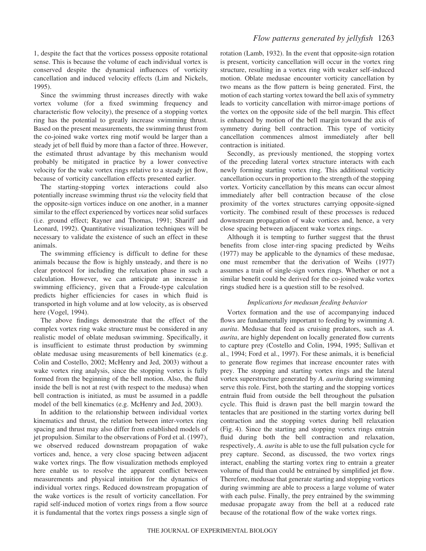1, despite the fact that the vortices possess opposite rotational sense. This is because the volume of each individual vortex is conserved despite the dynamical influences of vorticity cancellation and induced velocity effects (Lim and Nickels, 1995).

Since the swimming thrust increases directly with wake vortex volume (for a fixed swimming frequency and characteristic flow velocity), the presence of a stopping vortex ring has the potential to greatly increase swimming thrust. Based on the present measurements, the swimming thrust from the co-joined wake vortex ring motif would be larger than a steady jet of bell fluid by more than a factor of three. However, the estimated thrust advantage by this mechanism would probably be mitigated in practice by a lower convective velocity for the wake vortex rings relative to a steady jet flow, because of vorticity cancellation effects presented earlier.

The starting-stopping vortex interactions could also potentially increase swimming thrust *via* the velocity field that the opposite-sign vortices induce on one another, in a manner similar to the effect experienced by vortices near solid surfaces (i.e. ground effect; Rayner and Thomas, 1991; Shariff and Leonard, 1992). Quantitative visualization techniques will be necessary to validate the existence of such an effect in these animals.

The swimming efficiency is difficult to define for these animals because the flow is highly unsteady, and there is no clear protocol for including the relaxation phase in such a calculation. However, we can anticipate an increase in swimming efficiency, given that a Froude-type calculation predicts higher efficiencies for cases in which fluid is transported in high volume and at low velocity, as is observed here (Vogel, 1994).

The above findings demonstrate that the effect of the complex vortex ring wake structure must be considered in any realistic model of oblate medusan swimming. Specifically, it is insufficient to estimate thrust production by swimming oblate medusae using measurements of bell kinematics (e.g. Colin and Costello, 2002; McHenry and Jed, 2003) without a wake vortex ring analysis, since the stopping vortex is fully formed from the beginning of the bell motion. Also, the fluid inside the bell is not at rest (with respect to the medusa) when bell contraction is initiated, as must be assumed in a paddle model of the bell kinematics (e.g. McHenry and Jed, 2003).

In addition to the relationship between individual vortex kinematics and thrust, the relation between inter-vortex ring spacing and thrust may also differ from established models of jet propulsion. Similar to the observations of Ford et al. (1997), we observed reduced downstream propagation of wake vortices and, hence, a very close spacing between adjacent wake vortex rings. The flow visualization methods employed here enable us to resolve the apparent conflict between measurements and physical intuition for the dynamics of individual vortex rings. Reduced downstream propagation of the wake vortices is the result of vorticity cancellation. For rapid self-induced motion of vortex rings from a flow source it is fundamental that the vortex rings possess a single sign of

## *Flow patterns generated by jellyfish* 1263

rotation (Lamb, 1932). In the event that opposite-sign rotation is present, vorticity cancellation will occur in the vortex ring structure, resulting in a vortex ring with weaker self-induced motion. Oblate medusae encounter vorticity cancellation by two means as the flow pattern is being generated. First, the motion of each starting vortex toward the bell axis of symmetry leads to vorticity cancellation with mirror-image portions of the vortex on the opposite side of the bell margin. This effect is enhanced by motion of the bell margin toward the axis of symmetry during bell contraction. This type of vorticity cancellation commences almost immediately after bell contraction is initiated.

Secondly, as previously mentioned, the stopping vortex of the preceding lateral vortex structure interacts with each newly forming starting vortex ring. This additional vorticity cancellation occurs in proportion to the strength of the stopping vortex. Vorticity cancellation by this means can occur almost immediately after bell contraction because of the close proximity of the vortex structures carrying opposite-signed vorticity. The combined result of these processes is reduced downstream propagation of wake vortices and, hence, a very close spacing between adjacent wake vortex rings.

Although it is tempting to further suggest that the thrust benefits from close inter-ring spacing predicted by Weihs (1977) may be applicable to the dynamics of these medusae, one must remember that the derivation of Weihs (1977) assumes a train of single-sign vortex rings. Whether or not a similar benefit could be derived for the co-joined wake vortex rings studied here is a question still to be resolved.

### *Implications for medusan feeding behavior*

Vortex formation and the use of accompanying induced flows are fundamentally important to feeding by swimming *A. aurita*. Medusae that feed as cruising predators, such as *A. aurita*, are highly dependent on locally generated flow currents to capture prey (Costello and Colin, 1994, 1995; Sullivan et al., 1994; Ford et al., 1997). For these animals, it is beneficial to generate flow regimes that increase encounter rates with prey. The stopping and starting vortex rings and the lateral vortex superstructure generated by *A. aurita* during swimming serve this role. First, both the starting and the stopping vortices entrain fluid from outside the bell throughout the pulsation cycle. This fluid is drawn past the bell margin toward the tentacles that are positioned in the starting vortex during bell contraction and the stopping vortex during bell relaxation (Fig. 4). Since the starting and stopping vortex rings entrain fluid during both the bell contraction and relaxation, respectively, *A. aurita* is able to use the full pulsation cycle for prey capture. Second, as discussed, the two vortex rings interact, enabling the starting vortex ring to entrain a greater volume of fluid than could be entrained by simplified jet flow. Therefore, medusae that generate starting and stopping vortices during swimming are able to process a large volume of water with each pulse. Finally, the prey entrained by the swimming medusae propagate away from the bell at a reduced rate because of the rotational flow of the wake vortex rings.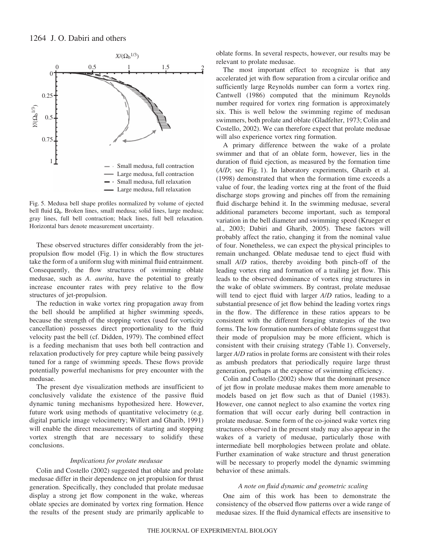

Fig. 5. Medusa bell shape profiles normalized by volume of ejected bell fluid  $\Omega_b$ . Broken lines, small medusa; solid lines, large medusa; gray lines, full bell contraction; black lines, full bell relaxation. Horizontal bars denote measurement uncertainty.

These observed structures differ considerably from the jetpropulsion flow model (Fig.  $1$ ) in which the flow structures take the form of a uniform slug with minimal fluid entrainment. Consequently, the flow structures of swimming oblate medusae, such as *A. aurita*, have the potential to greatly increase encounter rates with prey relative to the flow structures of jet-propulsion.

The reduction in wake vortex ring propagation away from the bell should be amplified at higher swimming speeds, because the strength of the stopping vortex (used for vorticity cancellation) possesses direct proportionality to the fluid velocity past the bell (cf. Didden, 1979). The combined effect is a feeding mechanism that uses both bell contraction and relaxation productively for prey capture while being passively tuned for a range of swimming speeds. These flows provide potentially powerful mechanisms for prey encounter with the medusae.

The present dye visualization methods are insufficient to conclusively validate the existence of the passive fluid dynamic tuning mechanisms hypothesized here. However, future work using methods of quantitative velocimetry (e.g. digital particle image velocimetry; Willert and Gharib, 1991) will enable the direct measurements of starting and stopping vortex strength that are necessary to solidify these conclusions.

#### *Implications for prolate medusae*

Colin and Costello (2002) suggested that oblate and prolate medusae differ in their dependence on jet propulsion for thrust generation. Specifically, they concluded that prolate medusae display a strong jet flow component in the wake, whereas oblate species are dominated by vortex ring formation. Hence the results of the present study are primarily applicable to

oblate forms. In several respects, however, our results may be relevant to prolate medusae.

The most important effect to recognize is that any accelerated jet with flow separation from a circular orifice and sufficiently large Reynolds number can form a vortex ring. Cantwell (1986) computed that the minimum Reynolds number required for vortex ring formation is approximately six. This is well below the swimming regime of medusan swimmers, both prolate and oblate (Gladfelter, 1973; Colin and Costello, 2002). We can therefore expect that prolate medusae will also experience vortex ring formation.

A primary difference between the wake of a prolate swimmer and that of an oblate form, however, lies in the duration of fluid ejection, as measured by the formation time  $(A/D;$  see Fig. 1). In laboratory experiments, Gharib et al. (1998) demonstrated that when the formation time exceeds a value of four, the leading vortex ring at the front of the fluid discharge stops growing and pinches off from the remaining fluid discharge behind it. In the swimming medusae, several additional parameters become important, such as temporal variation in the bell diameter and swimming speed (Krueger et al., 2003; Dabiri and Gharib, 2005). These factors will probably affect the ratio, changing it from the nominal value of four. Nonetheless, we can expect the physical principles to remain unchanged. Oblate medusae tend to eject fluid with small *A*/*D* ratios, thereby avoiding both pinch-off of the leading vortex ring and formation of a trailing jet flow. This leads to the observed dominance of vortex ring structures in the wake of oblate swimmers. By contrast, prolate medusae will tend to eject fluid with larger *A*/*D* ratios, leading to a substantial presence of jet flow behind the leading vortex rings in the flow. The difference in these ratios appears to be consistent with the different foraging strategies of the two forms. The low formation numbers of oblate forms suggest that their mode of propulsion may be more efficient, which is consistent with their cruising strategy (Table 1). Conversely, larger *A*/*D* ratios in prolate forms are consistent with their roles as ambush predators that periodically require large thrust generation, perhaps at the expense of swimming efficiency.

Colin and Costello (2002) show that the dominant presence of jet flow in prolate medusae makes them more amenable to models based on jet flow such as that of Daniel (1983). However, one cannot neglect to also examine the vortex ring formation that will occur early during bell contraction in prolate medusae. Some form of the co-joined wake vortex ring structures observed in the present study may also appear in the wakes of a variety of medusae, particularly those with intermediate bell morphologies between prolate and oblate. Further examination of wake structure and thrust generation will be necessary to properly model the dynamic swimming behavior of these animals.

### *A note on fluid dynamic and geometric scaling*

One aim of this work has been to demonstrate the consistency of the observed flow patterns over a wide range of medusae sizes. If the fluid dynamical effects are insensitive to